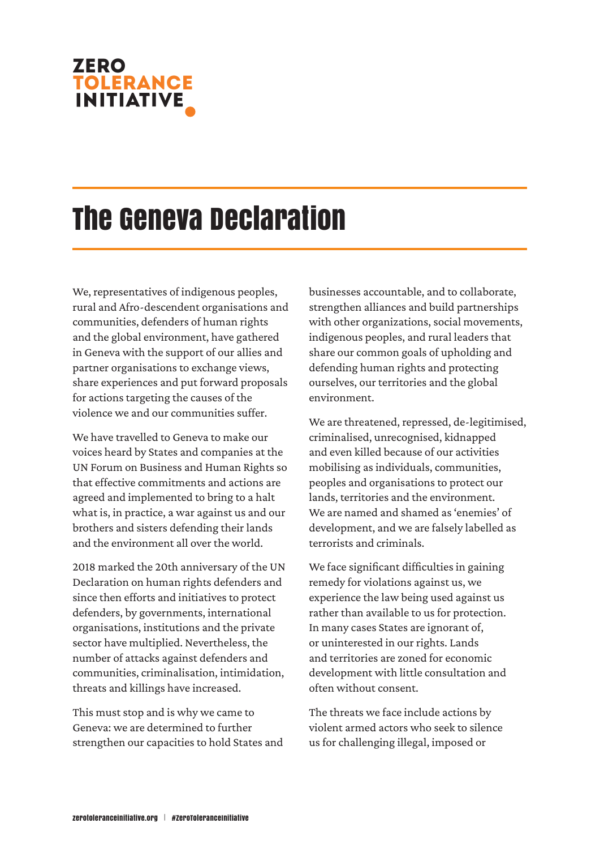# zero TOLERANCE

# The Geneva Declaration

We, representatives of indigenous peoples, rural and Afro-descendent organisations and communities, defenders of human rights and the global environment, have gathered in Geneva with the support of our allies and partner organisations to exchange views, share experiences and put forward proposals for actions targeting the causes of the violence we and our communities suffer.

We have travelled to Geneva to make our voices heard by States and companies at the UN Forum on Business and Human Rights so that effective commitments and actions are agreed and implemented to bring to a halt what is, in practice, a war against us and our brothers and sisters defending their lands and the environment all over the world.

2018 marked the 20th anniversary of the UN Declaration on human rights defenders and since then efforts and initiatives to protect defenders, by governments, international organisations, institutions and the private sector have multiplied. Nevertheless, the number of attacks against defenders and communities, criminalisation, intimidation, threats and killings have increased.

This must stop and is why we came to Geneva: we are determined to further strengthen our capacities to hold States and businesses accountable, and to collaborate, strengthen alliances and build partnerships with other organizations, social movements, indigenous peoples, and rural leaders that share our common goals of upholding and defending human rights and protecting ourselves, our territories and the global environment.

We are threatened, repressed, de-legitimised, criminalised, unrecognised, kidnapped and even killed because of our activities mobilising as individuals, communities, peoples and organisations to protect our lands, territories and the environment. We are named and shamed as 'enemies' of development, and we are falsely labelled as terrorists and criminals.

We face significant difficulties in gaining remedy for violations against us, we experience the law being used against us rather than available to us for protection. In many cases States are ignorant of, or uninterested in our rights. Lands and territories are zoned for economic development with little consultation and often without consent.

The threats we face include actions by violent armed actors who seek to silence us for challenging illegal, imposed or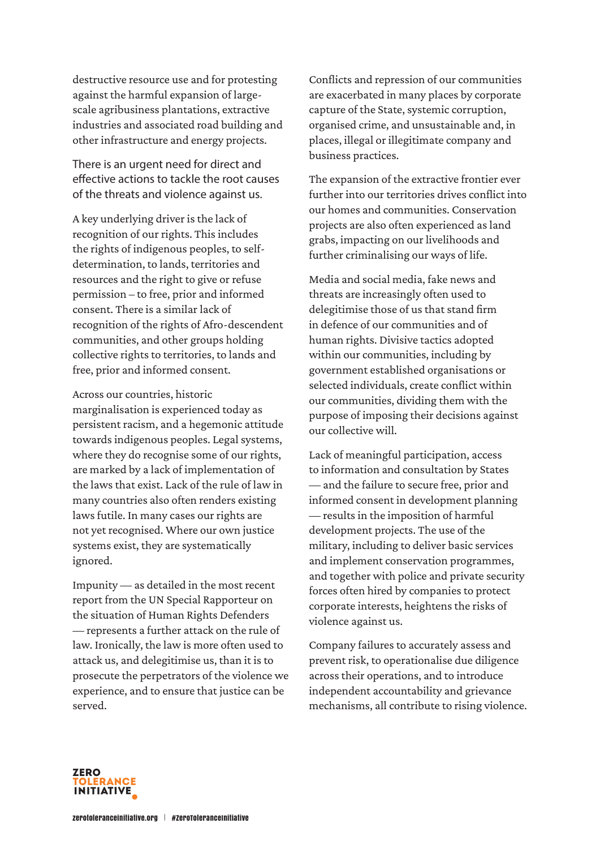destructive resource use and for protesting against the harmful expansion of largescale agribusiness plantations, extractive industries and associated road building and other infrastructure and energy projects.

There is an urgent need for direct and effective actions to tackle the root causes of the threats and violence against us.

A key underlying driver is the lack of recognition of our rights. This includes the rights of indigenous peoples, to selfdetermination, to lands, territories and resources and the right to give or refuse permission – to free, prior and informed consent. There is a similar lack of recognition of the rights of Afro-descendent communities, and other groups holding collective rights to territories, to lands and free, prior and informed consent.

Across our countries, historic marginalisation is experienced today as persistent racism, and a hegemonic attitude towards indigenous peoples. Legal systems, where they do recognise some of our rights, are marked by a lack of implementation of the laws that exist. Lack of the rule of law in many countries also often renders existing laws futile. In many cases our rights are not yet recognised. Where our own justice systems exist, they are systematically ignored.

Impunity — as detailed in the most recent report from the UN Special Rapporteur on the situation of Human Rights Defenders — represents a further attack on the rule of law. Ironically, the law is more often used to attack us, and delegitimise us, than it is to prosecute the perpetrators of the violence we experience, and to ensure that justice can be served.

Conflicts and repression of our communities are exacerbated in many places by corporate capture of the State, systemic corruption, organised crime, and unsustainable and, in places, illegal or illegitimate company and business practices.

The expansion of the extractive frontier ever further into our territories drives conflict into our homes and communities. Conservation projects are also often experienced as land grabs, impacting on our livelihoods and further criminalising our ways of life.

Media and social media, fake news and threats are increasingly often used to delegitimise those of us that stand firm in defence of our communities and of human rights. Divisive tactics adopted within our communities, including by government established organisations or selected individuals, create conflict within our communities, dividing them with the purpose of imposing their decisions against our collective will.

Lack of meaningful participation, access to information and consultation by States — and the failure to secure free, prior and informed consent in development planning — results in the imposition of harmful development projects. The use of the military, including to deliver basic services and implement conservation programmes, and together with police and private security forces often hired by companies to protect corporate interests, heightens the risks of violence against us.

Company failures to accurately assess and prevent risk, to operationalise due diligence across their operations, and to introduce independent accountability and grievance mechanisms, all contribute to rising violence.

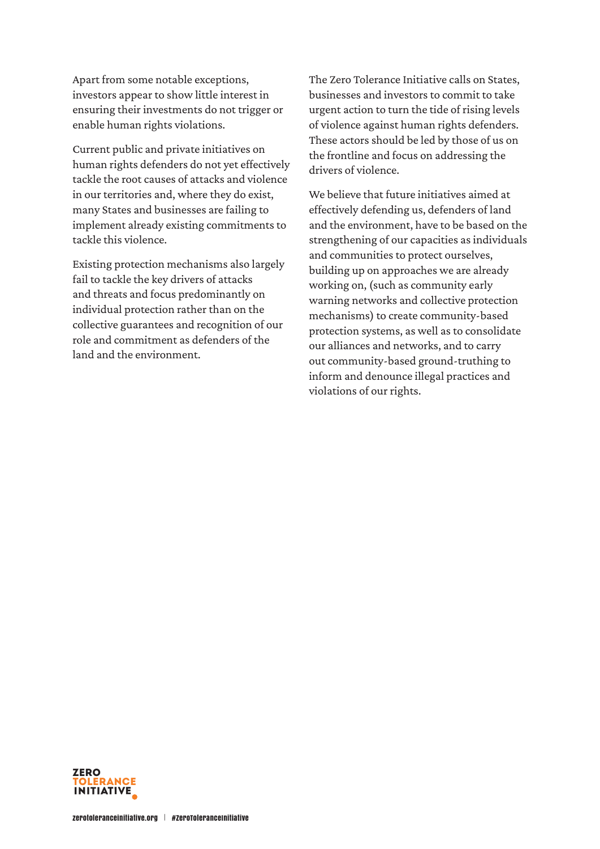Apart from some notable exceptions, investors appear to show little interest in ensuring their investments do not trigger or enable human rights violations.

Current public and private initiatives on human rights defenders do not yet effectively tackle the root causes of attacks and violence in our territories and, where they do exist, many States and businesses are failing to implement already existing commitments to tackle this violence.

Existing protection mechanisms also largely fail to tackle the key drivers of attacks and threats and focus predominantly on individual protection rather than on the collective guarantees and recognition of our role and commitment as defenders of the land and the environment.

The Zero Tolerance Initiative calls on States, businesses and investors to commit to take urgent action to turn the tide of rising levels of violence against human rights defenders. These actors should be led by those of us on the frontline and focus on addressing the drivers of violence.

We believe that future initiatives aimed at effectively defending us, defenders of land and the environment, have to be based on the strengthening of our capacities as individuals and communities to protect ourselves, building up on approaches we are already working on, (such as community early warning networks and collective protection mechanisms) to create community-based protection systems, as well as to consolidate our alliances and networks, and to carry out community-based ground-truthing to inform and denounce illegal practices and violations of our rights.

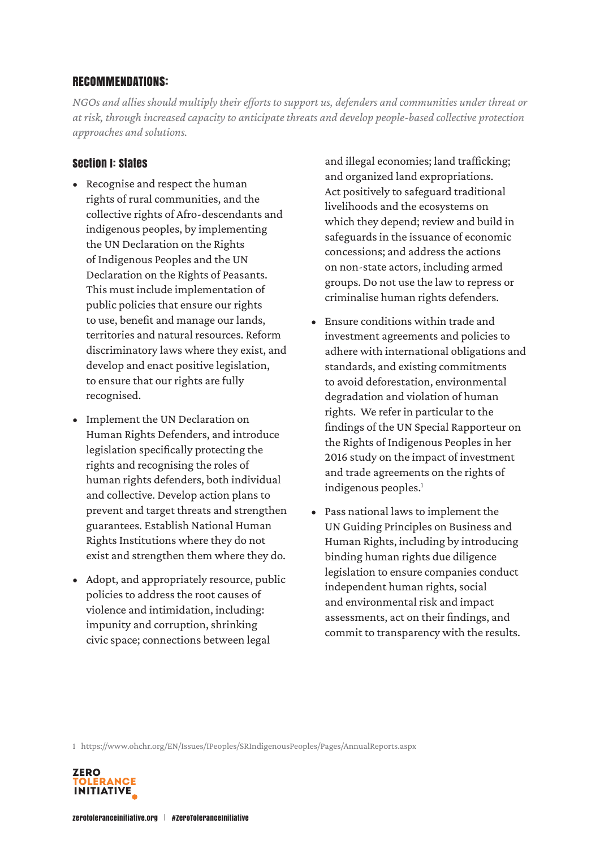## RECOMMENDATIONS:

*NGOs and allies should multiply their efforts to support us, defenders and communities under threat or at risk, through increased capacity to anticipate threats and develop people-based collective protection approaches and solutions.* 

# Section I: States

- Recognise and respect the human rights of rural communities, and the collective rights of Afro-descendants and indigenous peoples, by implementing the UN Declaration on the Rights of Indigenous Peoples and the UN Declaration on the Rights of Peasants. This must include implementation of public policies that ensure our rights to use, benefit and manage our lands, territories and natural resources. Reform discriminatory laws where they exist, and develop and enact positive legislation, to ensure that our rights are fully recognised.
- Implement the UN Declaration on Human Rights Defenders, and introduce legislation specifically protecting the rights and recognising the roles of human rights defenders, both individual and collective. Develop action plans to prevent and target threats and strengthen guarantees. Establish National Human Rights Institutions where they do not exist and strengthen them where they do.
- Adopt, and appropriately resource, public policies to address the root causes of violence and intimidation, including: impunity and corruption, shrinking civic space; connections between legal

and illegal economies; land trafficking; and organized land expropriations. Act positively to safeguard traditional livelihoods and the ecosystems on which they depend; review and build in safeguards in the issuance of economic concessions; and address the actions on non-state actors, including armed groups. Do not use the law to repress or criminalise human rights defenders.

- Ensure conditions within trade and investment agreements and policies to adhere with international obligations and standards, and existing commitments to avoid deforestation, environmental degradation and violation of human rights. We refer in particular to the findings of the UN Special Rapporteur on the Rights of Indigenous Peoples in her 2016 study on the impact of investment and trade agreements on the rights of indigenous peoples.<sup>1</sup>
- Pass national laws to implement the UN Guiding Principles on Business and Human Rights, including by introducing binding human rights due diligence legislation to ensure companies conduct independent human rights, social and environmental risk and impact assessments, act on their findings, and commit to transparency with the results.

1  https://www.ohchr.org/EN/Issues/IPeoples/SRIndigenousPeoples/Pages/AnnualReports.aspx

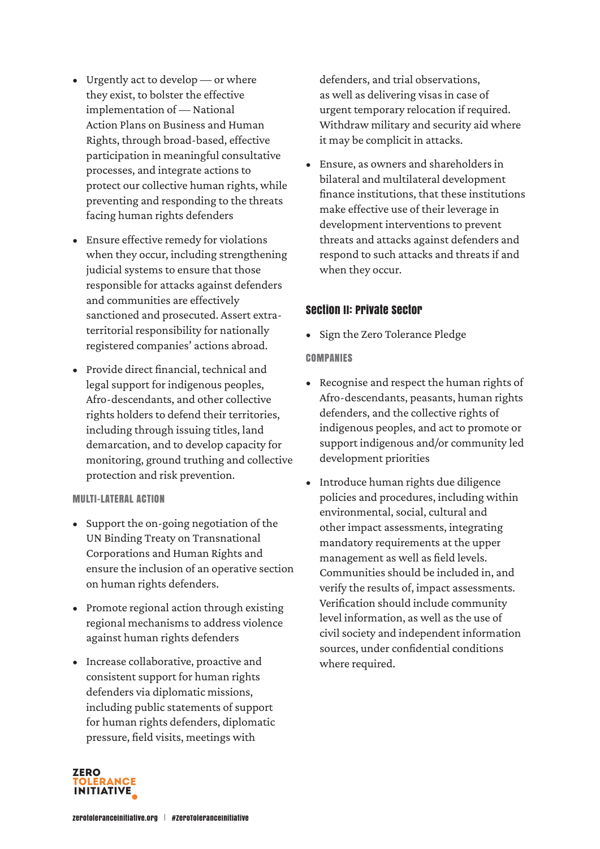- Urgently act to develop or where they exist, to bolster the effective implementation of — National Action Plans on Business and Human Rights, through broad-based, effective participation in meaningful consultative processes, and integrate actions to protect our collective human rights, while preventing and responding to the threats facing human rights defenders
- Ensure effective remedy for violations when they occur, including strengthening judicial systems to ensure that those responsible for attacks against defenders and communities are effectively sanctioned and prosecuted. Assert extraterritorial responsibility for nationally registered companies' actions abroad.
- Provide direct financial, technical and legal support for indigenous peoples, Afro-descendants, and other collective rights holders to defend their territories, including through issuing titles, land demarcation, and to develop capacity for monitoring, ground truthing and collective protection and risk prevention.

#### MULTI-LATERAL ACTION

- Support the on-going negotiation of the UN Binding Treaty on Transnational Corporations and Human Rights and ensure the inclusion of an operative section on human rights defenders.
- Promote regional action through existing regional mechanisms to address violence against human rights defenders
- Increase collaborative, proactive and consistent support for human rights defenders via diplomatic missions, including public statements of support for human rights defenders, diplomatic pressure, field visits, meetings with

defenders, and trial observations, as well as delivering visas in case of urgent temporary relocation if required. Withdraw military and security aid where it may be complicit in attacks.

• Ensure, as owners and shareholders in bilateral and multilateral development finance institutions, that these institutions make effective use of their leverage in development interventions to prevent threats and attacks against defenders and respond to such attacks and threats if and when they occur.

### Section II: Private Sector

• Sign the Zero Tolerance Pledge

#### **COMPANIES**

- Recognise and respect the human rights of Afro-descendants, peasants, human rights defenders, and the collective rights of indigenous peoples, and act to promote or support indigenous and/or community led development priorities
- Introduce human rights due diligence policies and procedures, including within environmental, social, cultural and other impact assessments, integrating mandatory requirements at the upper management as well as field levels. Communities should be included in, and verify the results of, impact assessments. Verification should include community level information, as well as the use of civil society and independent information sources, under confidential conditions where required.

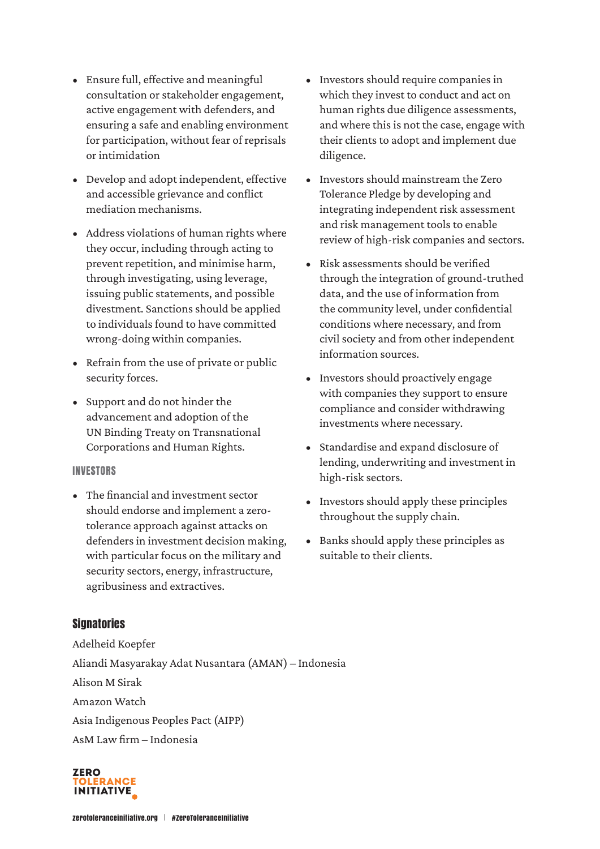- Ensure full, effective and meaningful consultation or stakeholder engagement, active engagement with defenders, and ensuring a safe and enabling environment for participation, without fear of reprisals or intimidation
- Develop and adopt independent, effective and accessible grievance and conflict mediation mechanisms.
- Address violations of human rights where they occur, including through acting to prevent repetition, and minimise harm, through investigating, using leverage, issuing public statements, and possible divestment. Sanctions should be applied to individuals found to have committed wrong-doing within companies.
- Refrain from the use of private or public security forces.
- Support and do not hinder the advancement and adoption of the UN Binding Treaty on Transnational Corporations and Human Rights.

#### INVESTORS

• The financial and investment sector should endorse and implement a zerotolerance approach against attacks on defenders in investment decision making, with particular focus on the military and security sectors, energy, infrastructure, agribusiness and extractives.

- Investors should require companies in which they invest to conduct and act on human rights due diligence assessments, and where this is not the case, engage with their clients to adopt and implement due diligence.
- Investors should mainstream the Zero Tolerance Pledge by developing and integrating independent risk assessment and risk management tools to enable review of high-risk companies and sectors.
- Risk assessments should be verified through the integration of ground-truthed data, and the use of information from the community level, under confidential conditions where necessary, and from civil society and from other independent information sources.
- Investors should proactively engage with companies they support to ensure compliance and consider withdrawing investments where necessary.
- Standardise and expand disclosure of lending, underwriting and investment in high-risk sectors.
- Investors should apply these principles throughout the supply chain.
- Banks should apply these principles as suitable to their clients.

# **Signatories**

Adelheid Koepfer Aliandi Masyarakay Adat Nusantara (AMAN) – Indonesia Alison M Sirak Amazon Watch Asia Indigenous Peoples Pact (AIPP) AsM Law firm – Indonesia

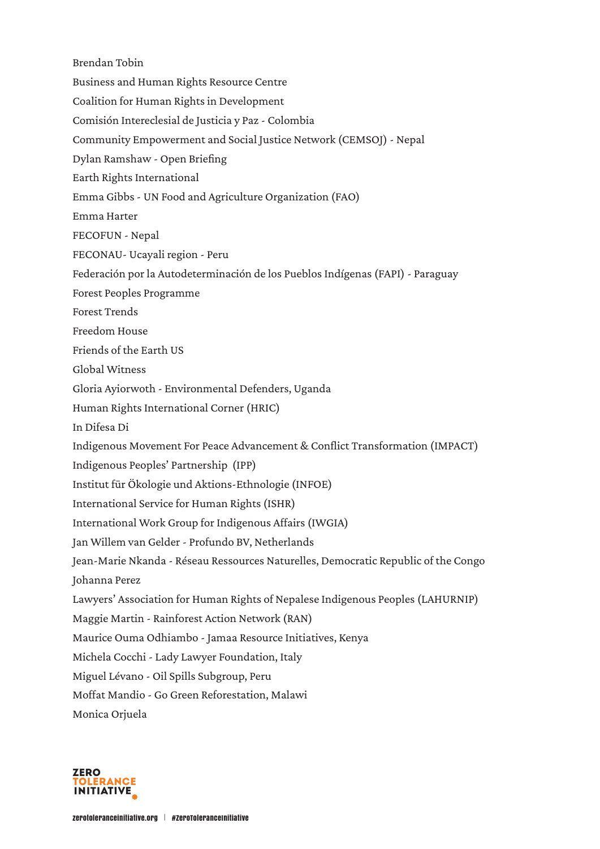Brendan Tobin Business and Human Rights Resource Centre Coalition for Human Rights in Development Comisión Intereclesial de Justicia y Paz - Colombia Community Empowerment and Social Justice Network (CEMSOJ) - Nepal Dylan Ramshaw - Open Briefing Earth Rights International Emma Gibbs - UN Food and Agriculture Organization (FAO) Emma Harter FECOFUN - Nepal FECONAU- Ucayali region - Peru Federación por la Autodeterminación de los Pueblos Indígenas (FAPI) - Paraguay Forest Peoples Programme Forest Trends Freedom House Friends of the Earth US Global Witness Gloria Ayiorwoth - Environmental Defenders, Uganda Human Rights International Corner (HRIC) In Difesa Di Indigenous Movement For Peace Advancement & Conflict Transformation (IMPACT) Indigenous Peoples' Partnership (IPP) Institut für Ökologie und Aktions-Ethnologie (INFOE) International Service for Human Rights (ISHR) International Work Group for Indigenous Affairs (IWGIA) Jan Willem van Gelder - Profundo BV, Netherlands Jean-Marie Nkanda - Réseau Ressources Naturelles, Democratic Republic of the Congo Johanna Perez Lawyers' Association for Human Rights of Nepalese Indigenous Peoples (LAHURNIP) Maggie Martin - Rainforest Action Network (RAN) Maurice Ouma Odhiambo - Jamaa Resource Initiatives, Kenya Michela Cocchi - Lady Lawyer Foundation, Italy Miguel Lévano - Oil Spills Subgroup, Peru Moffat Mandio - Go Green Reforestation, Malawi Monica Orjuela